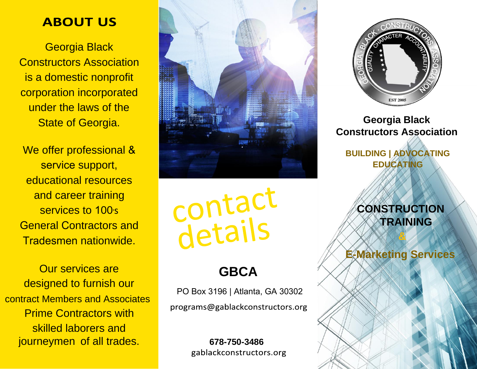# **ABOUT US**

Georgia Black Constructors Association is a domestic nonprofit corporation incorporated under the laws of the State of Georgia.

We offer professional & service support, educational resources and career training services to 100's General Contractors and Tradesmen nationwide.

Our services are designed to furnish our contract Members and Associates Prime Contractors with skilled laborers and journeymen of all trades.



contact

# **GBCA**

PO Box 3196 | Atlanta, GA 30302programs@gablackconstructors.org

> **678-750-3486** gablackconstructors.org



# **Georgia Black Constructors Association**

**BUILDING | ADVOCATING EDUCATING**

# **CONSTRUCTION TRAINING**

**E-Marketing Services**

**&**